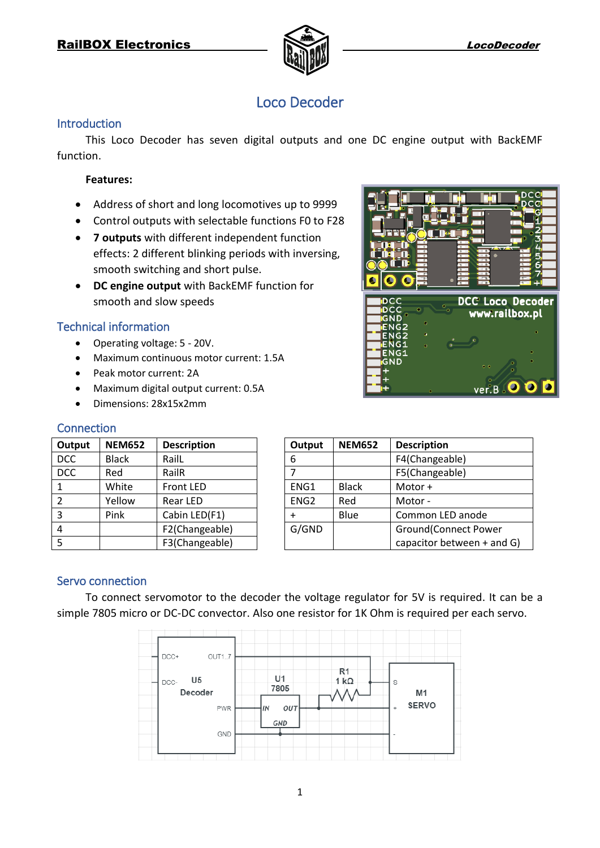

**Isja I** 

# Loco Decoder

#### **Introduction**

This Loco Decoder has seven digital outputs and one DC engine output with BackEMF function.

#### **Features:**

- Address of short and long locomotives up to 9999
- Control outputs with selectable functions F0 to F28
- **7 outputs** with different independent function effects: 2 different blinking periods with inversing, smooth switching and short pulse.
- **DC engine output** with BackEMF function for smooth and slow speeds

### Technical information

- Operating voltage: 5 20V.
- Maximum continuous motor current: 1.5A
- Peak motor current: 2A
- Maximum digital output current: 0.5A
- Dimensions: 28x15x2mm

#### **Connection**

| Output        | <b>NEM652</b> | <b>Description</b> |
|---------------|---------------|--------------------|
| <b>DCC</b>    | <b>Black</b>  | RailL              |
| <b>DCC</b>    | Red           | RailR              |
| 1             | White         | <b>Front LED</b>   |
| $\mathcal{P}$ | Yellow        | <b>Rear LED</b>    |
| 3             | Pink          | Cabin LED(F1)      |
|               |               | F2(Changeable)     |
| 5             |               | F3(Changeable)     |

|                               | 2<br>3<br>Ô<br>4<br>π<br>5.<br>6<br>$\overline{ }$ |
|-------------------------------|----------------------------------------------------|
| DCC                           | <b>DCC Loco Decoder</b>                            |
| DCC<br>GND                    | www.railbox.pl                                     |
| Ω<br>ENG <sub>2</sub>         |                                                    |
| ENG <sub>2</sub><br>$\bullet$ |                                                    |
| ENG1<br>$\circ$<br>ENG1       | Ċ                                                  |
| GND                           | c<br>o                                             |
|                               |                                                    |
|                               | $\circ$ $\circ$                                    |

Tod

| Output           | <b>NEM652</b> | <b>Description</b>           |
|------------------|---------------|------------------------------|
| 6                |               | F4(Changeable)               |
| $\overline{7}$   |               | F5(Changeable)               |
| ENG1             | <b>Black</b>  | Motor +                      |
| ENG <sub>2</sub> | Red           | Motor-                       |
| $\ddot{}$        | Blue          | Common LED anode             |
| G/GND            |               | <b>Ground</b> (Connect Power |
|                  |               | capacitor between + and G)   |

#### Servo connection

To connect servomotor to the decoder the voltage regulator for 5V is required. It can be a simple 7805 micro or DC-DC convector. Also one resistor for 1K Ohm is required per each servo.

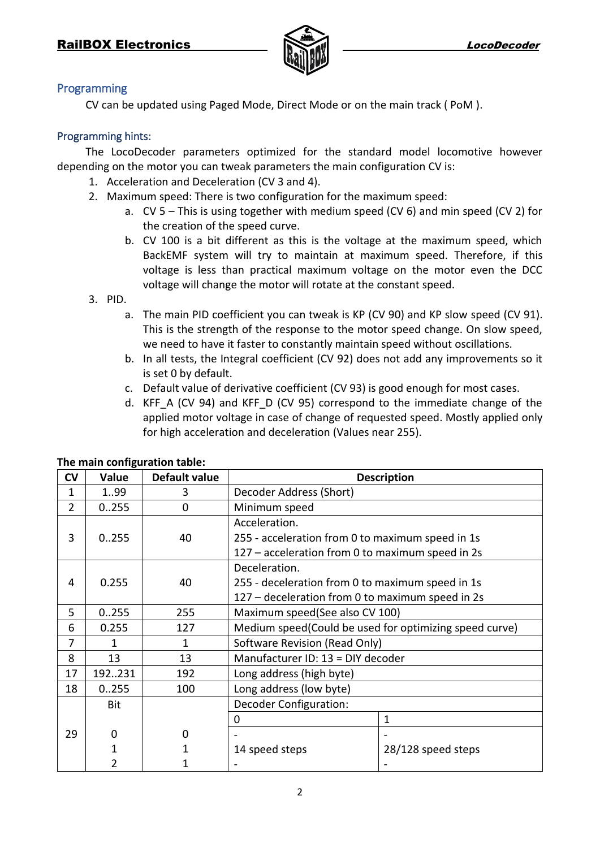

#### Programming

CV can be updated using Paged Mode, Direct Mode or on the main track ( PoM ).

#### Programming hints:

The LocoDecoder parameters optimized for the standard model locomotive however depending on the motor you can tweak parameters the main configuration CV is:

- 1. Acceleration and Deceleration (CV 3 and 4).
- 2. Maximum speed: There is two configuration for the maximum speed:
	- a. CV 5 This is using together with medium speed (CV 6) and min speed (CV 2) for the creation of the speed curve.
	- b. CV 100 is a bit different as this is the voltage at the maximum speed, which BackEMF system will try to maintain at maximum speed. Therefore, if this voltage is less than practical maximum voltage on the motor even the DCC voltage will change the motor will rotate at the constant speed.
- 3. PID.
	- a. The main PID coefficient you can tweak is KP (CV 90) and KP slow speed (CV 91). This is the strength of the response to the motor speed change. On slow speed, we need to have it faster to constantly maintain speed without oscillations.
	- b. In all tests, the Integral coefficient (CV 92) does not add any improvements so it is set 0 by default.
	- c. Default value of derivative coefficient (CV 93) is good enough for most cases.
	- d. KFF A (CV 94) and KFF D (CV 95) correspond to the immediate change of the applied motor voltage in case of change of requested speed. Mostly applied only for high acceleration and deceleration (Values near 255).

| <b>CV</b>      | Value  | <b>Default value</b> | <b>Description</b>                                     |                    |  |  |  |  |
|----------------|--------|----------------------|--------------------------------------------------------|--------------------|--|--|--|--|
| 1              | 199    | 3                    | Decoder Address (Short)                                |                    |  |  |  |  |
| $\overline{2}$ | 0.255  | $\Omega$             | Minimum speed                                          |                    |  |  |  |  |
|                |        |                      | Acceleration.                                          |                    |  |  |  |  |
| 3              | 0.0255 | 40                   | 255 - acceleration from 0 to maximum speed in 1s       |                    |  |  |  |  |
|                |        |                      | 127 - acceleration from 0 to maximum speed in 2s       |                    |  |  |  |  |
|                |        |                      | Deceleration.                                          |                    |  |  |  |  |
| 4              | 0.255  | 40                   | 255 - deceleration from 0 to maximum speed in 1s       |                    |  |  |  |  |
|                |        |                      | 127 – deceleration from 0 to maximum speed in 2s       |                    |  |  |  |  |
| 5              | 0.255  | 255                  | Maximum speed(See also CV 100)                         |                    |  |  |  |  |
| 6              | 0.255  | 127                  | Medium speed(Could be used for optimizing speed curve) |                    |  |  |  |  |
| 7              |        | 1                    | Software Revision (Read Only)                          |                    |  |  |  |  |
| 8              | 13     | 13                   | Manufacturer ID: 13 = DIY decoder                      |                    |  |  |  |  |
| 17             | 192231 | 192                  | Long address (high byte)                               |                    |  |  |  |  |
| 18             | 0.255  | 100                  | Long address (low byte)                                |                    |  |  |  |  |
|                | Bit    |                      | <b>Decoder Configuration:</b>                          |                    |  |  |  |  |
|                |        |                      | 0                                                      | $\mathbf 1$        |  |  |  |  |
| 29             | 0      | 0                    |                                                        |                    |  |  |  |  |
|                | 1      |                      | 14 speed steps                                         | 28/128 speed steps |  |  |  |  |
|                | 2      |                      |                                                        |                    |  |  |  |  |

**The main configuration table:**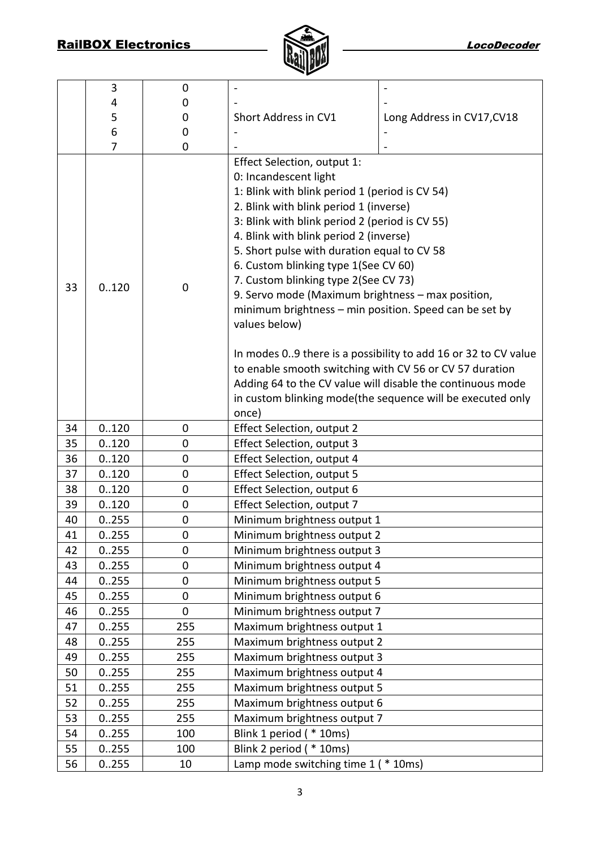

|    | 3     | 0                |                                                                                                                                                                                                                                                                                                                                                                                                                                                                                                                                                                                                                                                                                                                                                                      |                            |  |  |  |
|----|-------|------------------|----------------------------------------------------------------------------------------------------------------------------------------------------------------------------------------------------------------------------------------------------------------------------------------------------------------------------------------------------------------------------------------------------------------------------------------------------------------------------------------------------------------------------------------------------------------------------------------------------------------------------------------------------------------------------------------------------------------------------------------------------------------------|----------------------------|--|--|--|
|    | 4     | 0                |                                                                                                                                                                                                                                                                                                                                                                                                                                                                                                                                                                                                                                                                                                                                                                      |                            |  |  |  |
|    | 5     | 0                | Short Address in CV1                                                                                                                                                                                                                                                                                                                                                                                                                                                                                                                                                                                                                                                                                                                                                 | Long Address in CV17, CV18 |  |  |  |
|    | 6     | 0                |                                                                                                                                                                                                                                                                                                                                                                                                                                                                                                                                                                                                                                                                                                                                                                      |                            |  |  |  |
|    | 7     | 0                |                                                                                                                                                                                                                                                                                                                                                                                                                                                                                                                                                                                                                                                                                                                                                                      |                            |  |  |  |
| 33 | 0.120 | 0                | Effect Selection, output 1:<br>0: Incandescent light<br>1: Blink with blink period 1 (period is CV 54)<br>2. Blink with blink period 1 (inverse)<br>3: Blink with blink period 2 (period is CV 55)<br>4. Blink with blink period 2 (inverse)<br>5. Short pulse with duration equal to CV 58<br>6. Custom blinking type 1(See CV 60)<br>7. Custom blinking type 2(See CV 73)<br>9. Servo mode (Maximum brightness - max position,<br>minimum brightness - min position. Speed can be set by<br>values below)<br>In modes 09 there is a possibility to add 16 or 32 to CV value<br>to enable smooth switching with CV 56 or CV 57 duration<br>Adding 64 to the CV value will disable the continuous mode<br>in custom blinking mode(the sequence will be executed only |                            |  |  |  |
| 34 | 0.120 | $\mathbf 0$      | once)<br>Effect Selection, output 2                                                                                                                                                                                                                                                                                                                                                                                                                                                                                                                                                                                                                                                                                                                                  |                            |  |  |  |
| 35 | 0.120 | $\mathbf 0$      | Effect Selection, output 3                                                                                                                                                                                                                                                                                                                                                                                                                                                                                                                                                                                                                                                                                                                                           |                            |  |  |  |
| 36 | 0.120 | $\mathbf 0$      | Effect Selection, output 4                                                                                                                                                                                                                                                                                                                                                                                                                                                                                                                                                                                                                                                                                                                                           |                            |  |  |  |
| 37 | 0.120 | 0                | <b>Effect Selection, output 5</b>                                                                                                                                                                                                                                                                                                                                                                                                                                                                                                                                                                                                                                                                                                                                    |                            |  |  |  |
| 38 | 0.120 | 0                | Effect Selection, output 6                                                                                                                                                                                                                                                                                                                                                                                                                                                                                                                                                                                                                                                                                                                                           |                            |  |  |  |
| 39 | 0.120 | $\mathbf 0$      | Effect Selection, output 7                                                                                                                                                                                                                                                                                                                                                                                                                                                                                                                                                                                                                                                                                                                                           |                            |  |  |  |
| 40 | 0.255 | 0                | Minimum brightness output 1                                                                                                                                                                                                                                                                                                                                                                                                                                                                                                                                                                                                                                                                                                                                          |                            |  |  |  |
| 41 | 0.255 | $\mathbf 0$      | Minimum brightness output 2                                                                                                                                                                                                                                                                                                                                                                                                                                                                                                                                                                                                                                                                                                                                          |                            |  |  |  |
| 42 | 0255  | 0                | Minimum brightness output 3                                                                                                                                                                                                                                                                                                                                                                                                                                                                                                                                                                                                                                                                                                                                          |                            |  |  |  |
| 43 | 0255  | $\boldsymbol{0}$ | Minimum brightness output 4                                                                                                                                                                                                                                                                                                                                                                                                                                                                                                                                                                                                                                                                                                                                          |                            |  |  |  |
| 44 | 0255  | 0                | Minimum brightness output 5                                                                                                                                                                                                                                                                                                                                                                                                                                                                                                                                                                                                                                                                                                                                          |                            |  |  |  |
| 45 | 0.255 | 0                | Minimum brightness output 6                                                                                                                                                                                                                                                                                                                                                                                                                                                                                                                                                                                                                                                                                                                                          |                            |  |  |  |
| 46 | 0255  | 0                | Minimum brightness output 7                                                                                                                                                                                                                                                                                                                                                                                                                                                                                                                                                                                                                                                                                                                                          |                            |  |  |  |
| 47 | 0.255 | 255              | Maximum brightness output 1                                                                                                                                                                                                                                                                                                                                                                                                                                                                                                                                                                                                                                                                                                                                          |                            |  |  |  |
| 48 | 0.255 | 255              | Maximum brightness output 2                                                                                                                                                                                                                                                                                                                                                                                                                                                                                                                                                                                                                                                                                                                                          |                            |  |  |  |
| 49 | 0.255 | 255              | Maximum brightness output 3                                                                                                                                                                                                                                                                                                                                                                                                                                                                                                                                                                                                                                                                                                                                          |                            |  |  |  |
| 50 | 0255  | 255              | Maximum brightness output 4                                                                                                                                                                                                                                                                                                                                                                                                                                                                                                                                                                                                                                                                                                                                          |                            |  |  |  |
| 51 | 0.255 | 255              | Maximum brightness output 5                                                                                                                                                                                                                                                                                                                                                                                                                                                                                                                                                                                                                                                                                                                                          |                            |  |  |  |
| 52 | 0.255 | 255              | Maximum brightness output 6                                                                                                                                                                                                                                                                                                                                                                                                                                                                                                                                                                                                                                                                                                                                          |                            |  |  |  |
| 53 | 0255  | 255              | Maximum brightness output 7                                                                                                                                                                                                                                                                                                                                                                                                                                                                                                                                                                                                                                                                                                                                          |                            |  |  |  |
| 54 | 0.255 | 100              | Blink 1 period ( * 10ms)                                                                                                                                                                                                                                                                                                                                                                                                                                                                                                                                                                                                                                                                                                                                             |                            |  |  |  |
| 55 | 0.255 | 100              | Blink 2 period ( * 10ms)                                                                                                                                                                                                                                                                                                                                                                                                                                                                                                                                                                                                                                                                                                                                             |                            |  |  |  |
| 56 | 0.255 | 10               | Lamp mode switching time 1 (* 10ms)                                                                                                                                                                                                                                                                                                                                                                                                                                                                                                                                                                                                                                                                                                                                  |                            |  |  |  |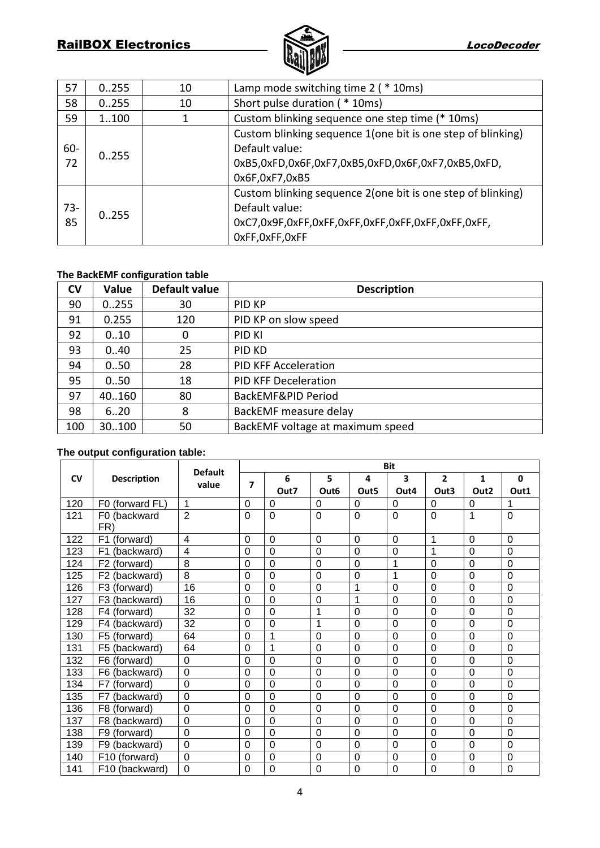# RailBOX Electronics **RailBOX** Electronics **LocoPecoder**



| 57     | 0.255 | 10 | Lamp mode switching time 2 ( * 10ms)                         |  |  |  |
|--------|-------|----|--------------------------------------------------------------|--|--|--|
| 58     | 0.255 | 10 | Short pulse duration ( * 10ms)                               |  |  |  |
| 59     | 1100  |    | Custom blinking sequence one step time (* 10ms)              |  |  |  |
|        |       |    | Custom blinking sequence 1 (one bit is one step of blinking) |  |  |  |
| $60 -$ | 0.255 |    | Default value:                                               |  |  |  |
| 72     |       |    | 0xB5,0xFD,0x6F,0xF7,0xB5,0xFD,0x6F,0xF7,0xB5,0xFD,           |  |  |  |
|        |       |    | 0x6F,0xF7,0xB5                                               |  |  |  |
|        |       |    | Custom blinking sequence 2 (one bit is one step of blinking) |  |  |  |
| $73-$  | 0.255 |    | Default value:                                               |  |  |  |
| 85     |       |    |                                                              |  |  |  |
|        |       |    | OxFF, OxFF, OxFF                                             |  |  |  |

#### **The BackEMF configuration table**

| <b>CV</b> | Value  | Default value | <b>Description</b>               |
|-----------|--------|---------------|----------------------------------|
| 90        | 0.255  | 30            | <b>PID KP</b>                    |
| 91        | 0.255  | 120           | PID KP on slow speed             |
| 92        | 010    | 0             | PID KI                           |
| 93        | 0.40   | 25            | PID KD                           |
| 94        | 0.50   | 28            | <b>PID KFF Acceleration</b>      |
| 95        | 0.50   | 18            | <b>PID KFF Deceleration</b>      |
| 97        | 40.160 | 80            | BackEMF&PID Period               |
| 98        | 6.20   | 8             | BackEMF measure delay            |
| 100       | 30.100 | 50            | BackEMF voltage at maximum speed |

## **The output configuration table:**

|           |                                | <b>Default</b> | <b>Bit</b> |                |                  |                  |                |                |                  |                |
|-----------|--------------------------------|----------------|------------|----------------|------------------|------------------|----------------|----------------|------------------|----------------|
| <b>CV</b> | <b>Description</b>             | value          | 7          | 6              | 5                | 4                | 3              | $\overline{2}$ | $\mathbf{1}$     | $\mathbf 0$    |
|           |                                |                |            | Out7           | Out <sub>6</sub> | Out <sub>5</sub> | Out4           | Out3           | Out <sub>2</sub> | Out1           |
| 120       | (forward FL)<br>F <sub>0</sub> | 1              | 0          | $\Omega$       | $\Omega$         | $\Omega$         | $\Omega$       | 0              | 0                | 1              |
| 121       | F0 (backward                   | $\overline{2}$ | 0          | $\overline{0}$ | $\overline{0}$   | $\overline{0}$   | $\overline{0}$ | $\overline{0}$ | 1                | $\overline{0}$ |
|           | FR)                            |                |            |                |                  |                  |                |                |                  |                |
| 122       | F <sub>1</sub><br>(forward)    | 4              | $\Omega$   | $\overline{0}$ | $\overline{0}$   | $\overline{0}$   | $\overline{0}$ | 1              | $\Omega$         | $\overline{0}$ |
| 123       | F <sub>1</sub><br>(backward)   | 4              | 0          | $\overline{0}$ | $\mathbf 0$      | $\overline{0}$   | $\mathbf 0$    | 1              | $\mathbf 0$      | $\mathbf 0$    |
| 124       | F <sub>2</sub><br>(forward)    | 8              | 0          | $\mathbf 0$    | $\mathbf 0$      | $\mathbf 0$      | 1              | 0              | 0                | $\mathbf 0$    |
| 125       | (backward)<br>F <sub>2</sub>   | $\overline{8}$ | 0          | $\overline{0}$ | $\mathbf 0$      | $\mathbf 0$      | 1              | $\mathbf 0$    | 0                | $\mathbf 0$    |
| 126       | F <sub>3</sub><br>(forward)    | 16             | 0          | $\overline{0}$ | 0                | 1                | 0              | 0              | $\Omega$         | $\mathbf 0$    |
| 127       | (backward)<br>F <sub>3</sub>   | 16             | 0          | 0              | 0                | 1                | $\mathbf 0$    | 0              | $\mathbf 0$      | $\mathbf 0$    |
| 128       | F4 (forward)                   | 32             | 0          | 0              | 1                | $\overline{0}$   | $\mathbf 0$    | 0              | $\Omega$         | $\overline{0}$ |
| 129       | F4<br>(backward)               | 32             | 0          | 0              | 1                | $\overline{0}$   | 0              | $\mathbf 0$    | $\mathbf 0$      | $\overline{0}$ |
| 130       | F <sub>5</sub><br>(forward)    | 64             | 0          | 1              | $\mathbf 0$      | $\mathbf 0$      | $\mathbf 0$    | $\mathbf 0$    | $\mathbf 0$      | $\mathbf 0$    |
| 131       | (backward)<br>F <sub>5</sub>   | 64             | 0          | 1              | $\mathbf 0$      | $\mathbf 0$      | $\mathbf 0$    | $\mathbf 0$    | $\mathbf 0$      | $\mathbf 0$    |
| 132       | F <sub>6</sub><br>(forward)    | $\Omega$       | $\Omega$   | $\Omega$       | $\overline{0}$   | $\overline{0}$   | 0              | 0              | $\Omega$         | $\mathbf 0$    |
| 133       | (backward)<br>F <sub>6</sub>   | $\mathbf 0$    | 0          | $\Omega$       | $\Omega$         | $\Omega$         | $\Omega$       | 0              | $\Omega$         | $\mathbf 0$    |
| 134       | (forward)<br>F7                | $\mathbf 0$    | 0          | 0              | $\mathbf 0$      | $\overline{0}$   | $\mathbf 0$    | 0              | $\Omega$         | $\mathbf 0$    |
| 135       | (backward)<br>F7               | $\mathbf 0$    | 0          | 0              | $\overline{0}$   | $\overline{0}$   | $\mathbf 0$    | $\mathbf 0$    | $\Omega$         | $\mathbf 0$    |
| 136       | F8<br>(forward)                | $\mathbf 0$    | 0          | $\overline{0}$ | $\mathbf 0$      | $\mathbf 0$      | $\mathbf 0$    | $\mathbf 0$    | 0                | $\mathbf 0$    |
| 137       | F <sub>8</sub><br>(backward)   | $\overline{0}$ | 0          | $\overline{0}$ | $\mathbf 0$      | $\mathbf 0$      | $\mathbf 0$    | $\mathbf 0$    | $\mathbf 0$      | $\mathbf 0$    |
| 138       | F9<br>(forward)                | $\mathbf 0$    | 0          | $\overline{0}$ | $\mathbf 0$      | $\mathbf 0$      | $\mathbf 0$    | $\mathbf 0$    | $\mathbf 0$      | $\mathbf 0$    |
| 139       | (backward)<br>F9               | $\overline{0}$ | 0          | $\overline{0}$ | $\mathbf 0$      | $\overline{0}$   | $\mathbf 0$    | 0              | 0                | $\mathbf 0$    |
| 140       | (forward)<br>F <sub>10</sub>   | $\overline{0}$ | 0          | 0              | 0                | 0                | $\mathbf 0$    | 0              | 0                | $\mathbf 0$    |
| 141       | F10 (backward)                 | 0              | 0          | 0              | 0                | 0                | 0              | 0              | $\mathbf 0$      | $\mathbf 0$    |